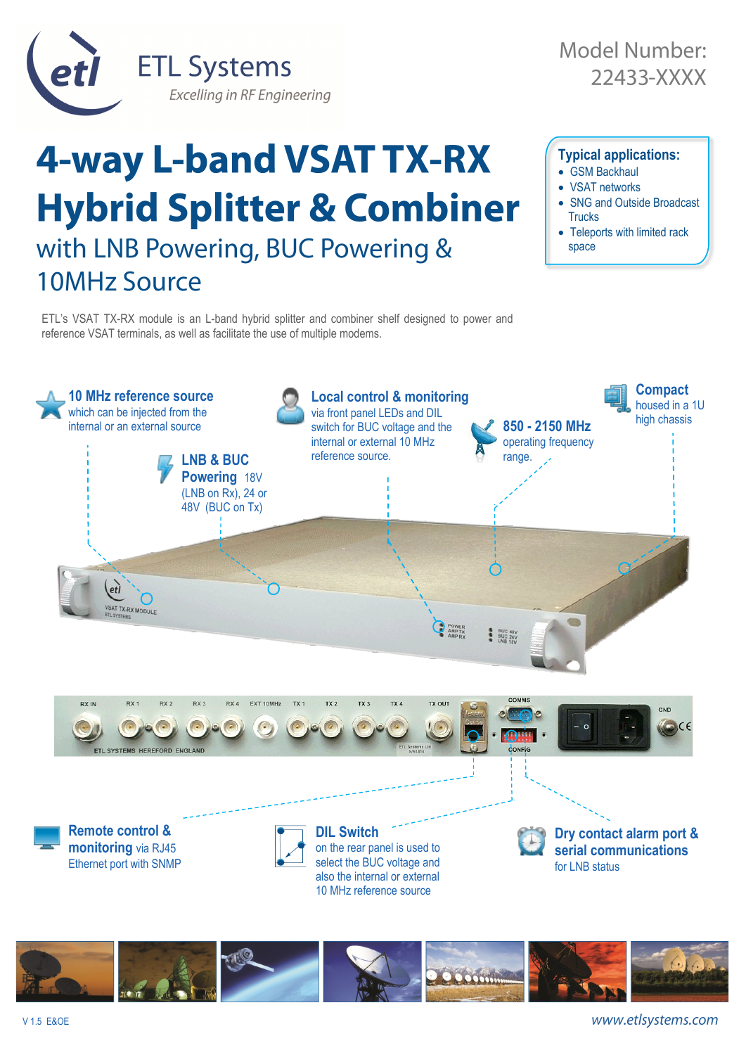

## **4-way L-band VSAT TX-RX Typical applications:** • GSM Backhaul • VSAT networks **Hybrid Splitter & Combiner** • SNG and Outside Broadcast **Trucks** • Teleports with limited rack with LNB Powering, BUC Powering & space 10MHz Source

ETL's VSAT TX-RX module is an L-band hybrid splitter and combiner shelf designed to power and reference VSAT terminals, as well as facilitate the use of multiple modems.





www.etlsystems.com